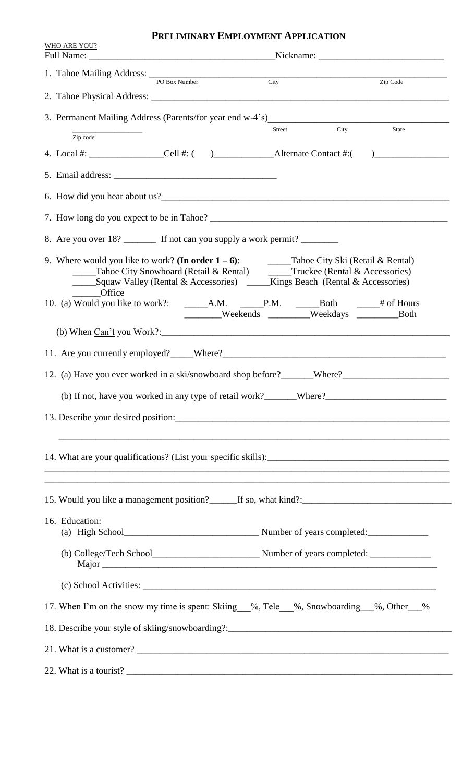## **PRELIMINARY EMPLOYMENT APPLICATION**

| <b>WHO ARE YOU?</b>                                                                                                                                                                                                            |  |                                                                                  |      |              |  |  |
|--------------------------------------------------------------------------------------------------------------------------------------------------------------------------------------------------------------------------------|--|----------------------------------------------------------------------------------|------|--------------|--|--|
| 1. Tahoe Mailing Address: PO Box Number City                                                                                                                                                                                   |  |                                                                                  |      | Zip Code     |  |  |
|                                                                                                                                                                                                                                |  |                                                                                  |      |              |  |  |
|                                                                                                                                                                                                                                |  |                                                                                  |      |              |  |  |
| Zip code                                                                                                                                                                                                                       |  | <b>Street</b>                                                                    | City | <b>State</b> |  |  |
|                                                                                                                                                                                                                                |  |                                                                                  |      |              |  |  |
|                                                                                                                                                                                                                                |  |                                                                                  |      |              |  |  |
|                                                                                                                                                                                                                                |  |                                                                                  |      |              |  |  |
|                                                                                                                                                                                                                                |  |                                                                                  |      |              |  |  |
| 8. Are you over 18? _________ If not can you supply a work permit? _________                                                                                                                                                   |  |                                                                                  |      |              |  |  |
| 9. Where would you like to work? (In order $1-6$ ): Tahoe City Ski (Retail & Rental)<br>_______Office                                                                                                                          |  | _____Tahoe City Snowboard (Retail & Rental) ______Truckee (Rental & Accessories) |      |              |  |  |
|                                                                                                                                                                                                                                |  | ________Weekends _________Weekdays _______________Both                           |      |              |  |  |
|                                                                                                                                                                                                                                |  |                                                                                  |      |              |  |  |
| 11. Are you currently employed? Where? Where Where Where Where and the substitution of the state of the state of the state of the state of the state of the state of the state of the state of the state of the state of the s |  |                                                                                  |      |              |  |  |
|                                                                                                                                                                                                                                |  |                                                                                  |      |              |  |  |
|                                                                                                                                                                                                                                |  |                                                                                  |      |              |  |  |
|                                                                                                                                                                                                                                |  |                                                                                  |      |              |  |  |
|                                                                                                                                                                                                                                |  |                                                                                  |      |              |  |  |
| ,我们也不能在这里的时候,我们也不能在这里的时候,我们也不能不能不能不能不能不能不能不能不能不能不能不能不能不能不能。""我们的是我们的,我们也不能不能不能不能<br>15. Would you like a management position?<br>If so, what kind?:<br>If so, what kind?:                                                      |  |                                                                                  |      |              |  |  |
| 16. Education:<br>(a) High School Number of years completed:                                                                                                                                                                   |  |                                                                                  |      |              |  |  |
|                                                                                                                                                                                                                                |  |                                                                                  |      |              |  |  |
|                                                                                                                                                                                                                                |  |                                                                                  |      |              |  |  |
| 17. When I'm on the snow my time is spent: Skiing %, Tele %, Snowboarding %, Other %                                                                                                                                           |  |                                                                                  |      |              |  |  |
|                                                                                                                                                                                                                                |  |                                                                                  |      |              |  |  |
|                                                                                                                                                                                                                                |  |                                                                                  |      |              |  |  |
| 22. What is a tourist?                                                                                                                                                                                                         |  |                                                                                  |      |              |  |  |